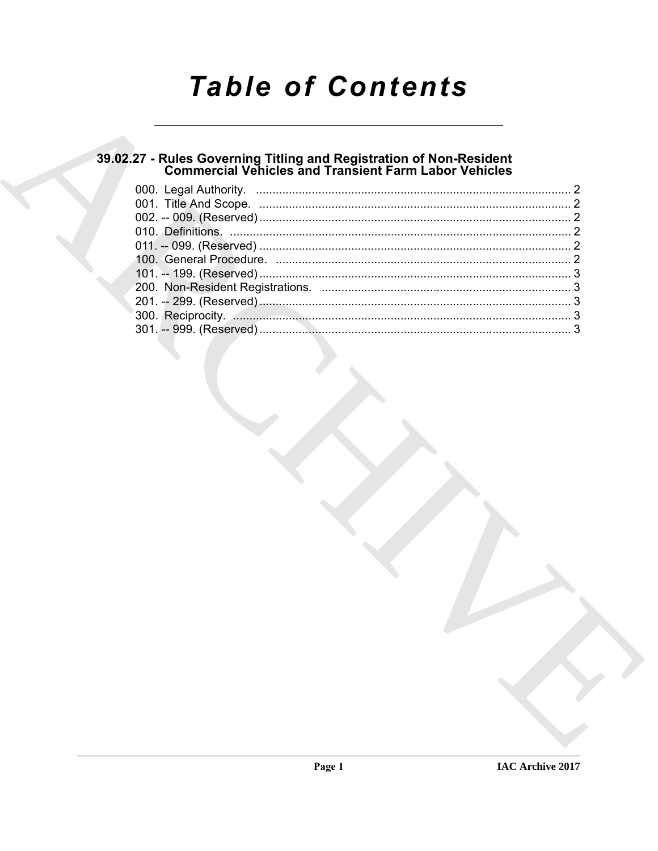# **Table of Contents**

# 39.02.27 - Rules Governing Titling and Registration of Non-Resident<br>Commercial Vehicles and Transient Farm Labor Vehicles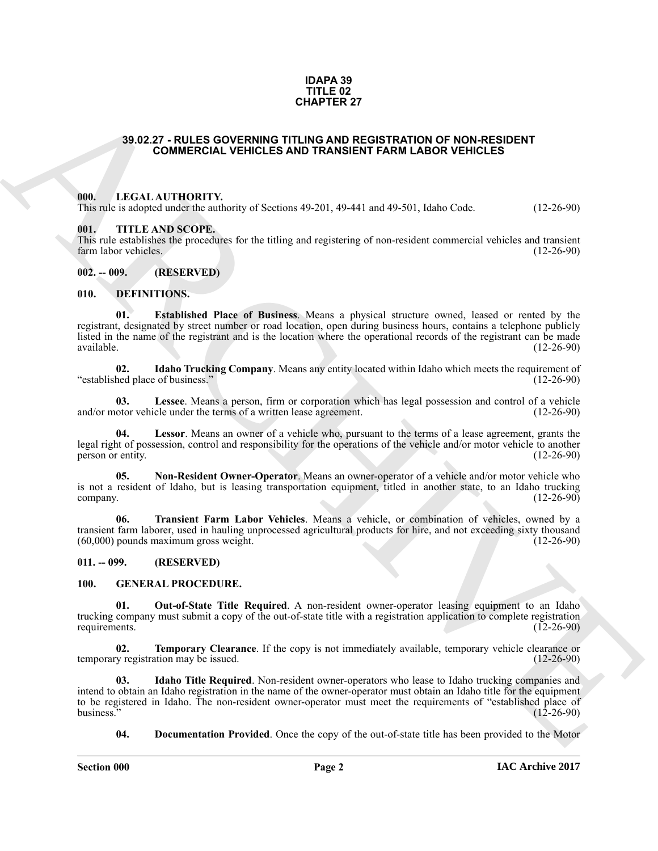#### **IDAPA 39 TITLE 02 CHAPTER 27**

#### <span id="page-1-0"></span>**39.02.27 - RULES GOVERNING TITLING AND REGISTRATION OF NON-RESIDENT COMMERCIAL VEHICLES AND TRANSIENT FARM LABOR VEHICLES**

#### <span id="page-1-1"></span>**000. LEGAL AUTHORITY.**

This rule is adopted under the authority of Sections 49-201, 49-441 and 49-501, Idaho Code. (12-26-90)

#### <span id="page-1-2"></span>**001. TITLE AND SCOPE.**

This rule establishes the procedures for the titling and registering of non-resident commercial vehicles and transient farm labor vehicles. (12-26-90) farm labor vehicles.

#### <span id="page-1-3"></span>**002. -- 009. (RESERVED)**

#### <span id="page-1-8"></span><span id="page-1-7"></span><span id="page-1-4"></span>**010. DEFINITIONS.**

**39.02.27 : NULES OCVERNING THE AZE ON THE VALUES AND REGISTRATION OF MON RESIDENT<br>
COMMERCIAL VEHICLES AND TRANSIENT FARM LABOR VEHICLES<br>
(III), IF IT IS ANSIENCED THE TRANSIENT FARM LABOR VEHICLES<br>
(III), IT IS AND SCOP 01. Established Place of Business**. Means a physical structure owned, leased or rented by the registrant, designated by street number or road location, open during business hours, contains a telephone publicly listed in the name of the registrant and is the location where the operational records of the registrant can be made available. (12-26-90) available. (12-26-90)

<span id="page-1-9"></span>**02.** Idaho Trucking Company. Means any entity located within Idaho which meets the requirement of hed place of business." (12-26-90) "established place of business."

<span id="page-1-10"></span>**03.** Lessee. Means a person, firm or corporation which has legal possession and control of a vehicle otor vehicle under the terms of a written lease agreement. (12-26-90) and/or motor vehicle under the terms of a written lease agreement.

<span id="page-1-11"></span>**04. Lessor**. Means an owner of a vehicle who, pursuant to the terms of a lease agreement, grants the legal right of possession, control and responsibility for the operations of the vehicle and/or motor vehicle to another person or entity. (12-26-90) person or entity.

<span id="page-1-12"></span>**05. Non-Resident Owner-Operator**. Means an owner-operator of a vehicle and/or motor vehicle who is not a resident of Idaho, but is leasing transportation equipment, titled in another state, to an Idaho trucking company. (12-26-90) company.  $(12-26-90)$ 

<span id="page-1-13"></span>**06. Transient Farm Labor Vehicles**. Means a vehicle, or combination of vehicles, owned by a transient farm laborer, used in hauling unprocessed agricultural products for hire, and not exceeding sixty thousand (60,000) pounds maximum gross weight. (12-26-90)

#### <span id="page-1-5"></span>**011. -- 099. (RESERVED)**

#### <span id="page-1-17"></span><span id="page-1-14"></span><span id="page-1-6"></span>**100. GENERAL PROCEDURE.**

**01. Out-of-State Title Required**. A non-resident owner-operator leasing equipment to an Idaho trucking company must submit a copy of the out-of-state title with a registration application to complete registration requirements.

<span id="page-1-18"></span>**02. Temporary Clearance**. If the copy is not immediately available, temporary vehicle clearance or y registration may be issued. (12-26-90) temporary registration may be issued.

**03. Idaho Title Required**. Non-resident owner-operators who lease to Idaho trucking companies and intend to obtain an Idaho registration in the name of the owner-operator must obtain an Idaho title for the equipment to be registered in Idaho. The non-resident owner-operator must meet the requirements of "established place of<br>(12-26-90) (12-26-90) business."  $(12-26-90)$ 

<span id="page-1-16"></span><span id="page-1-15"></span>**04. Documentation Provided**. Once the copy of the out-of-state title has been provided to the Motor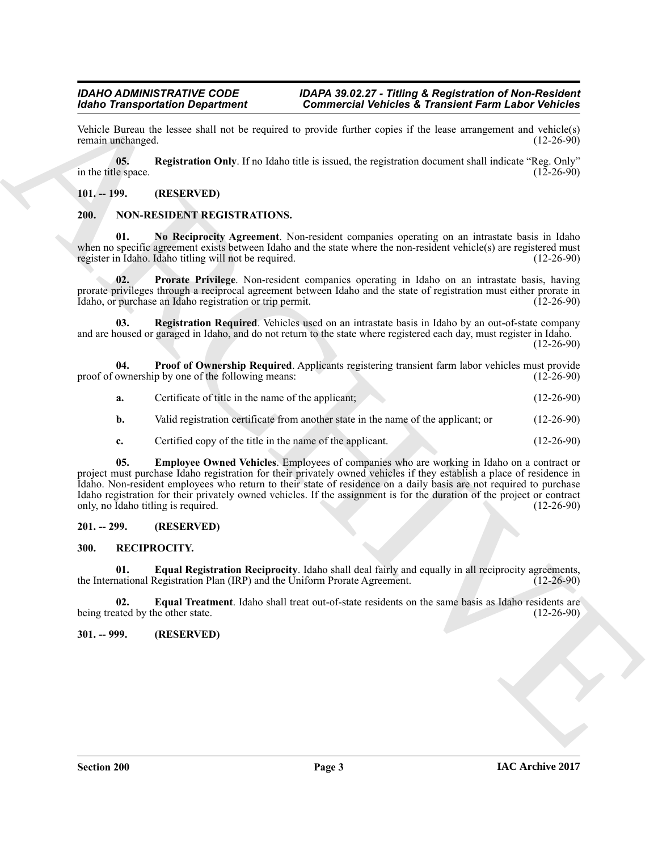Vehicle Bureau the lessee shall not be required to provide further copies if the lease arrangement and vehicle(s) remain unchanged.

<span id="page-2-5"></span>**05.** Registration Only. If no Idaho title is issued, the registration document shall indicate "Reg. Only" le space. in the title space.

#### <span id="page-2-0"></span>**101. -- 199. (RESERVED)**

#### <span id="page-2-8"></span><span id="page-2-6"></span><span id="page-2-1"></span>**200. NON-RESIDENT REGISTRATIONS.**

**01. No Reciprocity Agreement**. Non-resident companies operating on an intrastate basis in Idaho when no specific agreement exists between Idaho and the state where the non-resident vehicle(s) are registered must<br>register in Idaho. Idaho titling will not be required. register in Idaho. Idaho titling will not be required.

<span id="page-2-10"></span>**02. Prorate Privilege**. Non-resident companies operating in Idaho on an intrastate basis, having prorate privileges through a reciprocal agreement between Idaho and the state of registration must either prorate in Idaho, or purchase an Idaho registration or trip permit. Idaho, or purchase an Idaho registration or trip permit.

<span id="page-2-11"></span>**03. Registration Required**. Vehicles used on an intrastate basis in Idaho by an out-of-state company and are housed or garaged in Idaho, and do not return to the state where registered each day, must register in Idaho.

 $(12-26-90)$ 

**04. Proof of Ownership Required**. Applicants registering transient farm labor vehicles must provide ownership by one of the following means: (12-26-90) proof of ownership by one of the following means:

<span id="page-2-9"></span>

| а. | Certificate of title in the name of the applicant;                                 | $(12-26-90)$ |
|----|------------------------------------------------------------------------------------|--------------|
| b. | Valid registration certificate from another state in the name of the applicant; or | $(12-26-90)$ |

<span id="page-2-7"></span>**c.** Certified copy of the title in the name of the applicant. (12-26-90)

Moth Taraparameters The techniques of the state of the state and the state and the state of the state of the state of the state of the state of the state of the state of the state of the state of the state of the state of **05. Employee Owned Vehicles**. Employees of companies who are working in Idaho on a contract or project must purchase Idaho registration for their privately owned vehicles if they establish a place of residence in Idaho. Non-resident employees who return to their state of residence on a daily basis are not required to purchase Idaho registration for their privately owned vehicles. If the assignment is for the duration of the project or contract only, no Idaho titling is required. (12-26-90) only, no Idaho titling is required.

#### <span id="page-2-2"></span>**201. -- 299. (RESERVED)**

#### <span id="page-2-12"></span><span id="page-2-3"></span>**300. RECIPROCITY.**

<span id="page-2-13"></span>**01. Equal Registration Reciprocity**. Idaho shall deal fairly and equally in all reciprocity agreements, national Registration Plan (IRP) and the Uniform Prorate Agreement. (12-26-90) the International Registration Plan (IRP) and the Uniform Prorate Agreement.

<span id="page-2-14"></span>**02. Equal Treatment**. Idaho shall treat out-of-state residents on the same basis as Idaho residents are ated by the other state. (12-26-90) being treated by the other state.

#### <span id="page-2-4"></span>**301. -- 999. (RESERVED)**